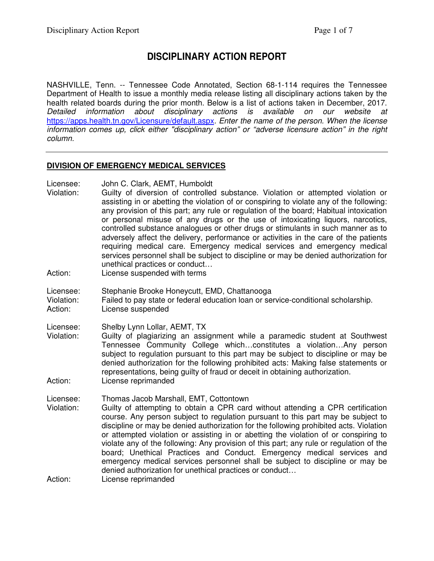# **DISCIPLINARY ACTION REPORT**

NASHVILLE, Tenn. -- Tennessee Code Annotated, Section 68-1-114 requires the Tennessee Department of Health to issue a monthly media release listing all disciplinary actions taken by the health related boards during the prior month. Below is a list of actions taken in December, 2017. Detailed information about disciplinary actions is available on our website at https://apps.health.tn.gov/Licensure/default.aspx. Enter the name of the person. When the license information comes up, click either "disciplinary action" or "adverse licensure action" in the right column.

### **DIVISION OF EMERGENCY MEDICAL SERVICES**

Licensee: John C. Clark, AEMT, Humboldt

- Violation: Guilty of diversion of controlled substance. Violation or attempted violation or assisting in or abetting the violation of or conspiring to violate any of the following: any provision of this part; any rule or regulation of the board; Habitual intoxication or personal misuse of any drugs or the use of intoxicating liquors, narcotics, controlled substance analogues or other drugs or stimulants in such manner as to adversely affect the delivery, performance or activities in the care of the patients requiring medical care. Emergency medical services and emergency medical services personnel shall be subject to discipline or may be denied authorization for unethical practices or conduct…
- Action: License suspended with terms
- Licensee: Stephanie Brooke Honeycutt, EMD, Chattanooga
- Violation: Failed to pay state or federal education loan or service-conditional scholarship. Action: License suspended

Licensee: Shelby Lynn Lollar, AEMT, TX

Violation: Guilty of plagiarizing an assignment while a paramedic student at Southwest Tennessee Community College which…constitutes a violation…Any person subject to regulation pursuant to this part may be subject to discipline or may be denied authorization for the following prohibited acts: Making false statements or representations, being guilty of fraud or deceit in obtaining authorization. Action: License reprimanded

Licensee: Thomas Jacob Marshall, EMT, Cottontown

Violation: Guilty of attempting to obtain a CPR card without attending a CPR certification course. Any person subject to regulation pursuant to this part may be subject to discipline or may be denied authorization for the following prohibited acts. Violation or attempted violation or assisting in or abetting the violation of or conspiring to violate any of the following: Any provision of this part; any rule or regulation of the board; Unethical Practices and Conduct. Emergency medical services and emergency medical services personnel shall be subject to discipline or may be denied authorization for unethical practices or conduct…

Action: License reprimanded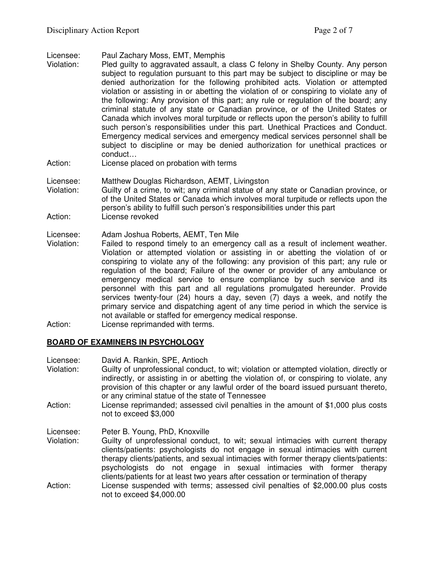Licensee: Paul Zachary Moss, EMT, Memphis

- Violation: Pled guilty to aggravated assault, a class C felony in Shelby County. Any person subject to regulation pursuant to this part may be subject to discipline or may be denied authorization for the following prohibited acts. Violation or attempted violation or assisting in or abetting the violation of or conspiring to violate any of the following: Any provision of this part; any rule or regulation of the board; any criminal statute of any state or Canadian province, or of the United States or Canada which involves moral turpitude or reflects upon the person's ability to fulfill such person's responsibilities under this part. Unethical Practices and Conduct. Emergency medical services and emergency medical services personnel shall be subject to discipline or may be denied authorization for unethical practices or conduct…
- Action: License placed on probation with terms
- Licensee: Matthew Douglas Richardson, AEMT, Livingston
- Violation: Guilty of a crime, to wit; any criminal statue of any state or Canadian province, or of the United States or Canada which involves moral turpitude or reflects upon the person's ability to fulfill such person's responsibilities under this part Action: License revoked
- Licensee: Adam Joshua Roberts, AEMT, Ten Mile
- Violation: Failed to respond timely to an emergency call as a result of inclement weather. Violation or attempted violation or assisting in or abetting the violation of or conspiring to violate any of the following: any provision of this part; any rule or regulation of the board; Failure of the owner or provider of any ambulance or emergency medical service to ensure compliance by such service and its personnel with this part and all regulations promulgated hereunder. Provide services twenty-four (24) hours a day, seven (7) days a week, and notify the primary service and dispatching agent of any time period in which the service is not available or staffed for emergency medical response.
- Action: License reprimanded with terms.

# **BOARD OF EXAMINERS IN PSYCHOLOGY**

- Licensee: David A. Rankin, SPE, Antioch Violation: Guilty of unprofessional conduct, to wit; violation or attempted violation, directly or indirectly, or assisting in or abetting the violation of, or conspiring to violate, any provision of this chapter or any lawful order of the board issued pursuant thereto, or any criminal statue of the state of Tennessee
- Action: License reprimanded; assessed civil penalties in the amount of \$1,000 plus costs not to exceed \$3,000

Licensee: Peter B. Young, PhD, Knoxville

Violation: Guilty of unprofessional conduct, to wit; sexual intimacies with current therapy clients/patients: psychologists do not engage in sexual intimacies with current therapy clients/patients, and sexual intimacies with former therapy clients/patients: psychologists do not engage in sexual intimacies with former therapy clients/patients for at least two years after cessation or termination of therapy Action: License suspended with terms; assessed civil penalties of \$2,000.00 plus costs not to exceed \$4,000.00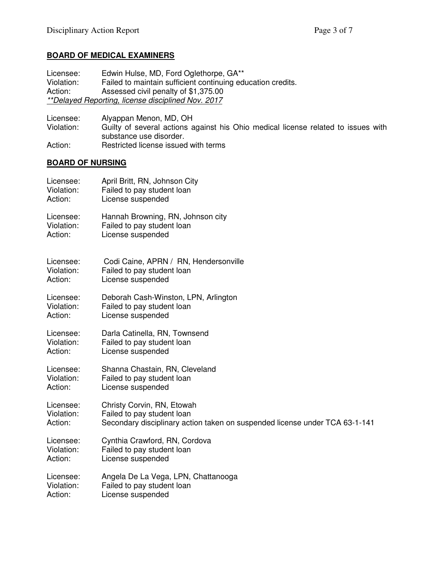# **BOARD OF MEDICAL EXAMINERS**

Licensee: Edwin Hulse, MD, Ford Oglethorpe, GA\*\*<br>Violation: Failed to maintain sufficient continuing ed Violation: Failed to maintain sufficient continuing education credits.<br>Action: Assessed civil penalty of \$1.375.00 Assessed civil penalty of \$1,375.00 \*\*Delayed Reporting, license disciplined Nov. 2017

Licensee: Alyappan Menon, MD, OH<br>Violation: Guilty of several actions a Guilty of several actions against his Ohio medical license related to issues with substance use disorder. Action: Restricted license issued with terms

#### **BOARD OF NURSING**

| Licensee:  | April Britt, RN, Johnson City                                               |
|------------|-----------------------------------------------------------------------------|
| Violation: | Failed to pay student loan                                                  |
| Action:    | License suspended                                                           |
| Licensee:  | Hannah Browning, RN, Johnson city                                           |
| Violation: | Failed to pay student loan                                                  |
| Action:    | License suspended                                                           |
| Licensee:  | Codi Caine, APRN / RN, Hendersonville                                       |
| Violation: | Failed to pay student loan                                                  |
| Action:    | License suspended                                                           |
| Licensee:  | Deborah Cash-Winston, LPN, Arlington                                        |
| Violation: | Failed to pay student loan                                                  |
| Action:    | License suspended                                                           |
| Licensee:  | Darla Catinella, RN, Townsend                                               |
| Violation: | Failed to pay student loan                                                  |
| Action:    | License suspended                                                           |
| Licensee:  | Shanna Chastain, RN, Cleveland                                              |
| Violation: | Failed to pay student loan                                                  |
| Action:    | License suspended                                                           |
| Licensee:  | Christy Corvin, RN, Etowah                                                  |
| Violation: | Failed to pay student loan                                                  |
| Action:    | Secondary disciplinary action taken on suspended license under TCA 63-1-141 |
| Licensee:  | Cynthia Crawford, RN, Cordova                                               |
| Violation: | Failed to pay student loan                                                  |
| Action:    | License suspended                                                           |
| Licensee:  | Angela De La Vega, LPN, Chattanooga                                         |
| Violation: | Failed to pay student loan                                                  |
| Action:    | License suspended                                                           |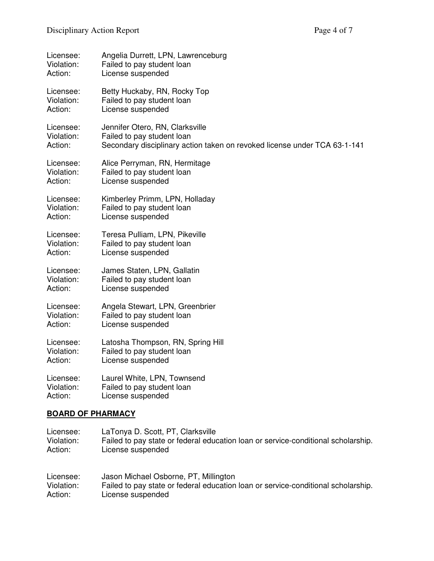| Licensee:  | Angelia Durrett, LPN, Lawrenceburg                                        |
|------------|---------------------------------------------------------------------------|
| Violation: | Failed to pay student loan                                                |
| Action:    | License suspended                                                         |
| Licensee:  | Betty Huckaby, RN, Rocky Top                                              |
| Violation: | Failed to pay student loan                                                |
| Action:    | License suspended                                                         |
| Licensee:  | Jennifer Otero, RN, Clarksville                                           |
| Violation: | Failed to pay student loan                                                |
| Action:    | Secondary disciplinary action taken on revoked license under TCA 63-1-141 |
| Licensee:  | Alice Perryman, RN, Hermitage                                             |
| Violation: | Failed to pay student loan                                                |
| Action:    | License suspended                                                         |
| Licensee:  | Kimberley Primm, LPN, Holladay                                            |
| Violation: | Failed to pay student loan                                                |
| Action:    | License suspended                                                         |
| Licensee:  | Teresa Pulliam, LPN, Pikeville                                            |
| Violation: | Failed to pay student loan                                                |
| Action:    | License suspended                                                         |
| Licensee:  | James Staten, LPN, Gallatin                                               |
| Violation: | Failed to pay student loan                                                |
| Action:    | License suspended                                                         |
| Licensee:  | Angela Stewart, LPN, Greenbrier                                           |
| Violation: | Failed to pay student loan                                                |
| Action:    | License suspended                                                         |
| Licensee:  | Latosha Thompson, RN, Spring Hill                                         |
| Violation: | Failed to pay student loan                                                |
| Action:    | License suspended                                                         |
| Licensee:  | Laurel White, LPN, Townsend                                               |
| Violation: | Failed to pay student loan                                                |
| Action:    | License suspended                                                         |

# **BOARD OF PHARMACY**

| Licensee:  | LaTonya D. Scott, PT, Clarksville                                                 |
|------------|-----------------------------------------------------------------------------------|
| Violation: | Failed to pay state or federal education loan or service-conditional scholarship. |
| Action:    | License suspended                                                                 |
| Licensee:  | Jason Michael Osborne, PT, Millington                                             |
| Violation: | Failed to pay state or federal education loan or service-conditional scholarship. |
| Action:    | License suspended                                                                 |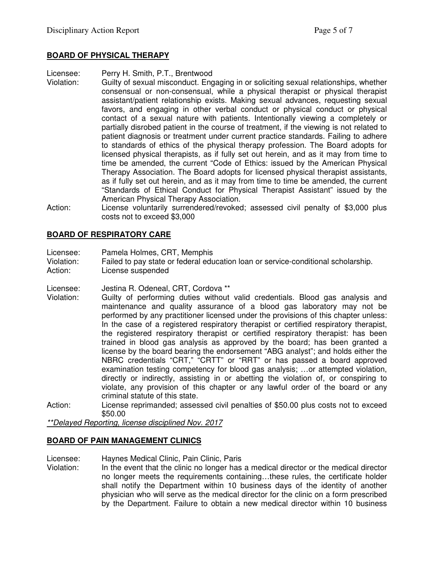### **BOARD OF PHYSICAL THERAPY**

Licensee: Perry H. Smith, P.T., Brentwood

- Violation: Guilty of sexual misconduct. Engaging in or soliciting sexual relationships, whether consensual or non-consensual, while a physical therapist or physical therapist assistant/patient relationship exists. Making sexual advances, requesting sexual favors, and engaging in other verbal conduct or physical conduct or physical contact of a sexual nature with patients. Intentionally viewing a completely or partially disrobed patient in the course of treatment, if the viewing is not related to patient diagnosis or treatment under current practice standards. Failing to adhere to standards of ethics of the physical therapy profession. The Board adopts for licensed physical therapists, as if fully set out herein, and as it may from time to time be amended, the current "Code of Ethics: issued by the American Physical Therapy Association. The Board adopts for licensed physical therapist assistants, as if fully set out herein, and as it may from time to time be amended, the current "Standards of Ethical Conduct for Physical Therapist Assistant" issued by the American Physical Therapy Association.
- Action: License voluntarily surrendered/revoked; assessed civil penalty of \$3,000 plus costs not to exceed \$3,000

### **BOARD OF RESPIRATORY CARE**

Licensee: Pamela Holmes, CRT, Memphis

Violation: Failed to pay state or federal education loan or service-conditional scholarship.

- Action: License suspended
- Licensee: Jestina R. Odeneal, CRT, Cordova \*\*
- Violation: Guilty of performing duties without valid credentials. Blood gas analysis and maintenance and quality assurance of a blood gas laboratory may not be performed by any practitioner licensed under the provisions of this chapter unless: In the case of a registered respiratory therapist or certified respiratory therapist, the registered respiratory therapist or certified respiratory therapist: has been trained in blood gas analysis as approved by the board; has been granted a license by the board bearing the endorsement "ABG analyst"; and holds either the NBRC credentials "CRT," "CRTT" or "RRT" or has passed a board approved examination testing competency for blood gas analysis; …or attempted violation, directly or indirectly, assisting in or abetting the violation of, or conspiring to violate, any provision of this chapter or any lawful order of the board or any criminal statute of this state.
- Action: License reprimanded; assessed civil penalties of \$50.00 plus costs not to exceed \$50.00

\*\*Delayed Reporting, license disciplined Nov. 2017

### **BOARD OF PAIN MANAGEMENT CLINICS**

- Licensee: Haynes Medical Clinic, Pain Clinic, Paris
- Violation: In the event that the clinic no longer has a medical director or the medical director no longer meets the requirements containing…these rules, the certificate holder shall notify the Department within 10 business days of the identity of another physician who will serve as the medical director for the clinic on a form prescribed by the Department. Failure to obtain a new medical director within 10 business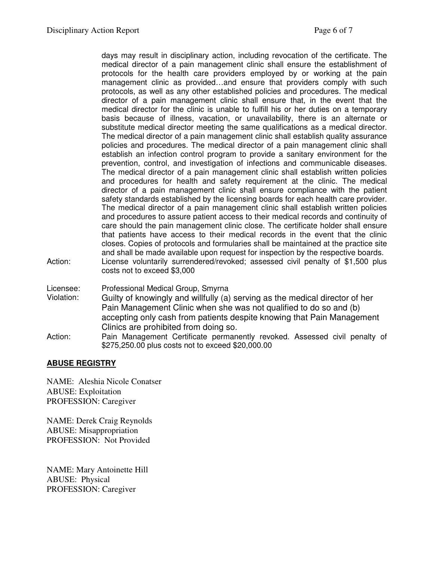days may result in disciplinary action, including revocation of the certificate. The medical director of a pain management clinic shall ensure the establishment of protocols for the health care providers employed by or working at the pain management clinic as provided…and ensure that providers comply with such protocols, as well as any other established policies and procedures. The medical director of a pain management clinic shall ensure that, in the event that the medical director for the clinic is unable to fulfill his or her duties on a temporary basis because of illness, vacation, or unavailability, there is an alternate or substitute medical director meeting the same qualifications as a medical director. The medical director of a pain management clinic shall establish quality assurance policies and procedures. The medical director of a pain management clinic shall establish an infection control program to provide a sanitary environment for the prevention, control, and investigation of infections and communicable diseases. The medical director of a pain management clinic shall establish written policies and procedures for health and safety requirement at the clinic. The medical director of a pain management clinic shall ensure compliance with the patient safety standards established by the licensing boards for each health care provider. The medical director of a pain management clinic shall establish written policies and procedures to assure patient access to their medical records and continuity of care should the pain management clinic close. The certificate holder shall ensure that patients have access to their medical records in the event that the clinic closes. Copies of protocols and formularies shall be maintained at the practice site and shall be made available upon request for inspection by the respective boards. Action: License voluntarily surrendered/revoked; assessed civil penalty of \$1,500 plus costs not to exceed \$3,000

Licensee: Professional Medical Group, Smyrna

- Violation: Guilty of knowingly and willfully (a) serving as the medical director of her Pain Management Clinic when she was not qualified to do so and (b) accepting only cash from patients despite knowing that Pain Management Clinics are prohibited from doing so.
- Action: Pain Management Certificate permanently revoked. Assessed civil penalty of \$275,250.00 plus costs not to exceed \$20,000.00

# **ABUSE REGISTRY**

NAME: Aleshia Nicole Conatser ABUSE: Exploitation PROFESSION: Caregiver

NAME: Derek Craig Reynolds ABUSE: Misappropriation PROFESSION: Not Provided

NAME: Mary Antoinette Hill ABUSE: Physical PROFESSION: Caregiver